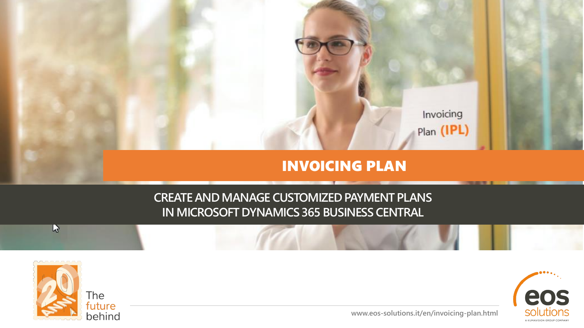

## INVOICING PLAN

## **CREATE AND MANAGE CUSTOMIZED PAYMENT PLANS IN MICROSOFT DYNAMICS 365 BUSINESS CENTRAL**



 $r$ 



**www.eos-solutions.it/en/invoicing-plan.html**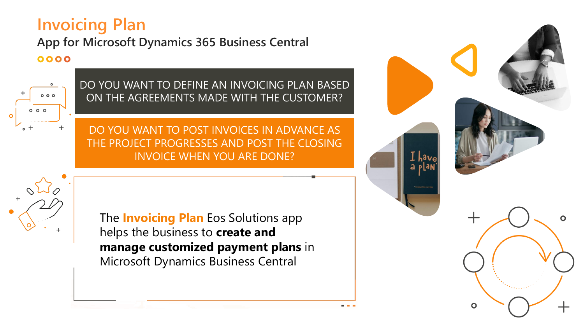# **Invoicing Plan**

### **App for Microsoft Dynamics 365 Business Central** 0000



DO YOU WANT TO DEFINE AN INVOICING PLAN BASED ON THE AGREEMENTS MADE WITH THE CUSTOMER?

DO YOU WANT TO POST INVOICES IN ADVANCE AS THE PROJECT PROGRESSES AND POST THE CLOSING INVOICE WHEN YOU ARE DONE?

The **Invoicing Plan** Eos Solutions app helps the business to **create and manage customized payment plans** in Microsoft Dynamics Business Central

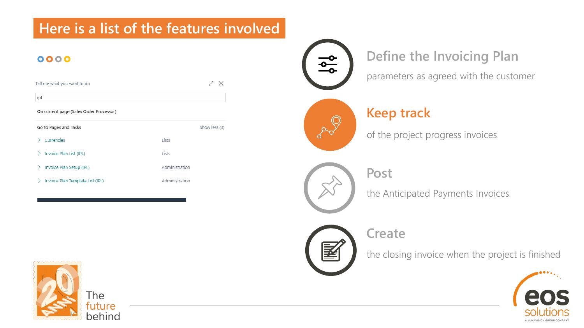# **Here is a list of the features involved**

### 0000

| Tell me what you want to do             | X              |               |  |
|-----------------------------------------|----------------|---------------|--|
| ipl                                     |                |               |  |
| On current page (Sales Order Processor) |                |               |  |
| Go to Pages and Tasks                   |                | Show less (3) |  |
| Currencies                              | Lists          |               |  |
| Invoice Plan List (IPL)                 | Lists          |               |  |
| Invoice Plan Setup (IPL)<br>↘           | Administration |               |  |
| Invoice Plan Template List (IPL)<br>⋗   | Administration |               |  |



## **Define the Invoicing Plan**

parameters as agreed with the customer



### **Keep track**

of the project progress invoices



the Anticipated Payments Invoices



**Post** 

the closing invoice when the project is finished



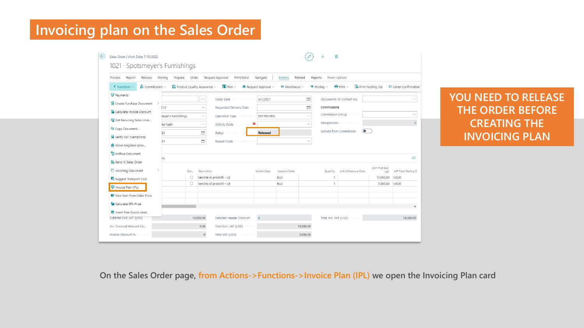# **Invoicing plan on the Sales Order**

| $\leftarrow$ | ⋒<br>Sales Order   Work Date: 7/10/2022<br>1021 · Spotsmeyer's Furnishings |                            |         |                                           |              |                                          |                                |                                               |                                 |                         |                               |                                      |                         |                      |
|--------------|----------------------------------------------------------------------------|----------------------------|---------|-------------------------------------------|--------------|------------------------------------------|--------------------------------|-----------------------------------------------|---------------------------------|-------------------------|-------------------------------|--------------------------------------|-------------------------|----------------------|
|              | Process<br>Report                                                          | Release                    | Postina | Prepare                                   | Order        |                                          | Request Approval<br>Print/Send | Navigate                                      | <b>Actions</b>                  | Related                 | Reports<br>Fewer options      |                                      |                         |                      |
|              | $f$ Functions $\vee$                                                       | $\sim$ Commissions $\vee$  |         | $\alpha$ Product Quality Assurance $\vee$ |              |                                          | $\frac{1}{2}$ Plan $\vee$      | $\blacktriangleright$ Request Approval $\vee$ | $\blacksquare$ Warehouse $\vee$ |                         | $\blacksquare$ Posting $\vee$ | $\bigoplus$ Print $\vee$             | Print Packing List      | □ Order Confirmation |
|              | 통 Payments                                                                 |                            |         |                                           |              | $\cdots$                                 | Order Date                     | 5/1/2021                                      |                                 | $\overline{\mathbb{R}}$ |                               | Documents-To Contact No.             |                         | $\cdots$             |
|              | <b>词</b> Create Purchase Document                                          |                            | 212     |                                           | $\checkmark$ | Requested Delivery Date                  | 閜                              |                                               | Commissions                     |                         |                               |                                      |                         |                      |
|              |                                                                            | Calculate Invoice Discount |         | neyer's Furnishings                       |              | $\cdots$                                 | Operation Type                 | EST-FN-VEN                                    |                                 | $\sim$                  |                               | Commission Group                     |                         | $\checkmark$         |
|              | Get Recurring Sales Lines                                                  |                            | ke Nash |                                           |              | $\cdots$                                 |                                |                                               |                                 |                         |                               | Salespersons                         |                         | $\circ$              |
|              | la Copy Document                                                           |                            | 121     |                                           |              | <b>iii</b>                               | Status                         | Released                                      |                                 |                         |                               | Exclude from Commission<br>$\bullet$ |                         |                      |
|              | Verify VAT Exemptions                                                      |                            |         |                                           |              | $\frac{1}{\left  \frac{1}{1+1} \right }$ | Reason Code                    |                                               |                                 | $\checkmark$            |                               |                                      |                         |                      |
|              | 21<br>Move Negative Lines                                                  |                            |         |                                           |              |                                          |                                |                                               |                                 |                         |                               |                                      |                         |                      |
|              | <sup>1</sup> Archive Document                                              |                            |         |                                           |              |                                          |                                |                                               |                                 |                         |                               |                                      |                         |                      |
|              | Send IC Sales Order                                                        |                            | ins     |                                           |              |                                          |                                |                                               |                                 |                         |                               |                                      |                         | 51                   |
|              | Incoming Document                                                          |                            |         |                                           | Con          | Description                              |                                | Variant Code                                  | Location Code                   |                         | Quantity                      | Unit of Measure Code                 | Unit Price Excl.<br>VAT | VAT Prod. Posting G  |
|              | Suggest Transport Cost                                                     |                            |         |                                           | $\Box$       |                                          | Vendite di prodotti - UE       |                                               | <b>BLU</b>                      |                         |                               |                                      | 10,000,00               | IVA20                |
|              | Invoice Plan (IPL)                                                         |                            |         |                                           | $\Box$       |                                          | Vendite di prodotti - UE       |                                               | <b>BLU</b>                      |                         | $\mathbf{1}$                  |                                      | 5,000.00                | IVA20                |
|              | New Item From Sales Price                                                  |                            |         |                                           |              |                                          |                                |                                               |                                 |                         |                               |                                      |                         |                      |
|              | <b>M</b> Calculate SFA Price                                               |                            |         |                                           |              |                                          |                                |                                               |                                 |                         |                               |                                      |                         |                      |
|              | <b>器</b> Insert Free Goods Lines                                           |                            |         |                                           |              |                                          |                                |                                               |                                 |                         |                               |                                      |                         |                      |
|              | Subtotal Excl. VAT (USD)                                                   |                            |         |                                           |              | 15,000.00                                | Detailed Header Discount  0    |                                               |                                 |                         |                               | Total Incl. VAT (USD)                |                         | 18.000.00            |
|              | Inv. Discount Amount Exc                                                   |                            |         |                                           |              | 0.00                                     | Total Excl. VAT (USD)          |                                               |                                 | 15,000.00               |                               |                                      |                         |                      |
|              | Invoice Discount %                                                         |                            |         |                                           |              | $\circ$                                  | Total VAT (USD) ··········     |                                               |                                 | 3.000.00                |                               |                                      |                         |                      |

**YOU NEED TO RELEASE THE ORDER BEFORE CREATING THE INVOICING PLAN**

**On the Sales Order page, from Actions->Functions->Invoice Plan (IPL) we open the Invoicing Plan card**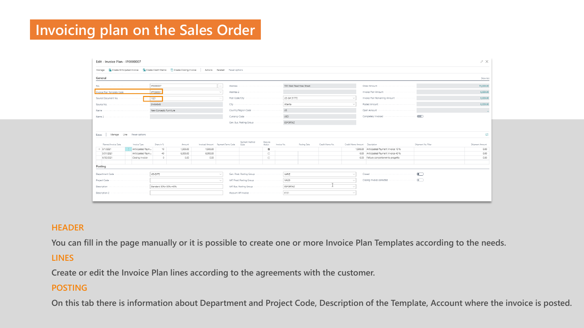# **Invoicing plan on the Sales Order**

|                                                                                                                   |                           |                  |          |          |                                    |                        |                     |             |              |                 |                                |                                           |                     | $x^k$ $\times$                          |
|-------------------------------------------------------------------------------------------------------------------|---------------------------|------------------|----------|----------|------------------------------------|------------------------|---------------------|-------------|--------------|-----------------|--------------------------------|-------------------------------------------|---------------------|-----------------------------------------|
| Manage 篇 Create Anticipated Invoice 篇 Create Credit Memo 简 Create Closing Invoice   Actions Related Fewer options |                           |                  |          |          |                                    |                        |                     |             |              |                 |                                |                                           |                     |                                         |
| General                                                                                                           |                           |                  |          |          |                                    |                        |                     |             |              |                 |                                |                                           |                     | Show less                               |
|                                                                                                                   |                           | IP0000007        |          |          | $-$                                |                        |                     |             |              |                 |                                |                                           |                     | 15,000.00                               |
| Invoice Plan Template Code                                                                                        |                           | <b>IPT000001</b> |          |          |                                    |                        |                     |             |              |                 |                                | Invoice Plan Amount                       |                     | 6,000.00                                |
|                                                                                                                   |                           |                  |          |          |                                    |                        |                     |             |              |                 |                                | Invoice Plan Remaining Amount             |                     | 6,000.00                                |
|                                                                                                                   |                           |                  |          |          |                                    |                        |                     |             |              |                 |                                |                                           |                     | 6.000.00                                |
|                                                                                                                   |                           |                  |          |          |                                    |                        |                     |             |              |                 |                                |                                           |                     |                                         |
|                                                                                                                   |                           |                  |          |          |                                    |                        |                     |             |              |                 |                                |                                           |                     |                                         |
|                                                                                                                   |                           |                  |          |          |                                    |                        |                     |             |              |                 |                                |                                           |                     |                                         |
|                                                                                                                   |                           |                  |          |          |                                    |                        |                     |             |              |                 |                                |                                           |                     |                                         |
| Lines                                                                                                             | Manage Line Fewer options |                  |          |          |                                    |                        |                     |             |              |                 |                                |                                           |                     |                                         |
|                                                                                                                   |                           |                  |          |          |                                    |                        |                     |             |              |                 |                                |                                           |                     |                                         |
|                                                                                                                   |                           |                  |          |          |                                    |                        |                     |             |              |                 |                                |                                           |                     |                                         |
| Planned Invoice Date                                                                                              | Invoice Type              | Share in %       | Amount   |          | Invoiced Amount Payment Terms Code | Payment Method<br>Code | Execute<br>Action   | Invoice No. | Posting Date | Credit Memo No. | Credit Memo Amount Description |                                           | Shipment No. Filter |                                         |
| $\rightarrow$ 5/1/2021                                                                                            | Anticipated Paym          | 10               | 1,500.00 | 1,500.00 |                                    |                        | $\overline{\omega}$ |             |              |                 |                                | 1,500.00 Anticipated Payment Invoice 10 % |                     |                                         |
| 5/31/2021                                                                                                         | Anticipated Paym          | 40               | 6,000.00 | 6,000.00 |                                    |                        | $\Box$              |             |              |                 |                                | 0.00 Anticipated Payment Invoice 40 %     |                     |                                         |
| 6/30/2021                                                                                                         | Closing Invoice           | $\Omega$         | 0.00     | 0.00     |                                    |                        | $\Box$              |             |              |                 |                                | 0.00 Fattura completamento progetto       |                     | Shipment Amount<br>0.00<br>0.00<br>0.00 |
| Posting                                                                                                           |                           |                  |          |          |                                    |                        |                     |             |              |                 |                                |                                           |                     |                                         |
|                                                                                                                   |                           |                  |          |          |                                    |                        |                     |             |              |                 |                                |                                           |                     |                                         |
| Department Code                                                                                                   |                           | VENDITE          |          |          |                                    |                        |                     |             |              |                 |                                | Closed                                    | $\bullet$           |                                         |
|                                                                                                                   |                           |                  |          |          |                                    |                        |                     |             |              |                 |                                |                                           |                     |                                         |
|                                                                                                                   |                           |                  |          |          |                                    |                        |                     |             |              |                 |                                |                                           |                     |                                         |
|                                                                                                                   |                           |                  |          |          |                                    |                        |                     |             |              |                 |                                |                                           |                     |                                         |

#### **HEADER**

**You can fill in the page manually or it is possible to create one or more Invoice Plan Templates according to the needs.** 

#### **LINES**

**Create or edit the Invoice Plan lines according to the agreements with the customer.** 

#### **POSTING**

**On this tab there is information about Department and Project Code, Description of the Template, Account where the invoice is posted.**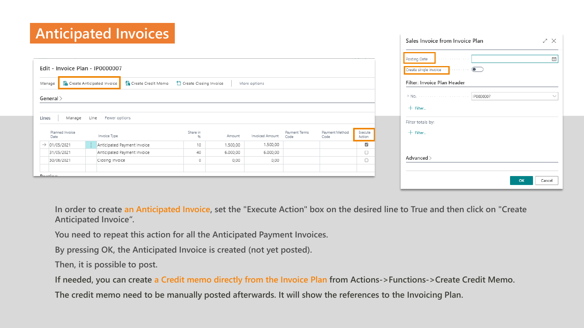# **Anticipated Invoices**

|                                 |      | Anticipated Invoices                                        |                        |          |                 |                       |                        |                         | Sales Invoice from Invoice Plan<br>ZΧ   |
|---------------------------------|------|-------------------------------------------------------------|------------------------|----------|-----------------|-----------------------|------------------------|-------------------------|-----------------------------------------|
|                                 |      |                                                             |                        |          |                 |                       |                        |                         | 誧<br>Posting Date<br>.                  |
| Edit - Invoice Plan - IP0000007 |      |                                                             |                        |          |                 |                       |                        |                         | Create single invoice<br>$\bullet$<br>. |
| Manage                          |      | <b>た</b> Create Anticipated Invoice<br>徐 Create Credit Memo | Create Closing Invoice |          | More options    |                       |                        |                         | Filter: Invoice Plan Header             |
| General >                       |      |                                                             |                        |          |                 |                       |                        |                         | IP0000007                               |
|                                 |      |                                                             |                        |          |                 |                       |                        |                         | $+$ Filter                              |
| Lines<br>Manage                 | Line | Fewer options                                               |                        |          |                 |                       |                        |                         | Filter totals by:                       |
| Planned Invoice<br>Date         |      | Invoice Type                                                | Share in               | Amount   | Invoiced Amount | Payment Terms<br>Code | Payment Method<br>Code | Execute<br>Action       | $+$ Filter                              |
| $\rightarrow$ 01/05/2021        |      | Anticipated Payment Invoice                                 | 10                     | 1.500,00 | 1.500,00        |                       |                        | $\overline{\mathbf{r}}$ |                                         |
| 31/05/2021                      |      | Anticipated Payment Invoice                                 | 40                     | 6.000,00 | 6.000,00        |                       |                        | $\Box$                  |                                         |
| 30/06/2021                      |      | Closing Invoice                                             | 0                      | 0,00     | 0,00            |                       |                        | $\Box$                  | Advanced >                              |
| $D_{\alpha}$ stina              |      |                                                             |                        |          |                 |                       |                        |                         | Cancel<br><b>OK</b>                     |

**In order to create an Anticipated Invoice, set the "Execute Action" box on the desired line to True and then click on "Create Anticipated Invoice".**

**You need to repeat this action for all the Anticipated Payment Invoices.**

**By pressing OK, the Anticipated Invoice is created (not yet posted).**

**Then, it is possible to post.**

**If needed, you can create a Credit memo directly from the Invoice Plan from Actions->Functions->Create Credit Memo.**

**The credit memo need to be manually posted afterwards. It will show the references to the Invoicing Plan.**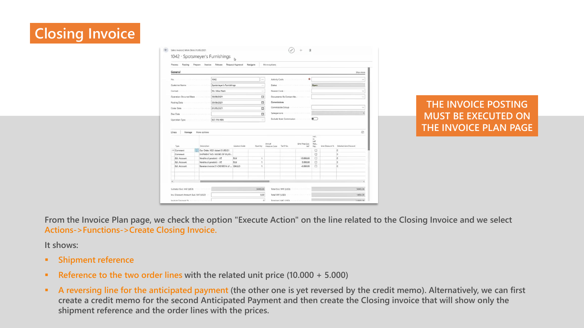# **Closing Invoice**



**THE INVOICE POSTING MUST BE EXECUTED ON THE INVOICE PLAN PAGE**

**From the Invoice Plan page, we check the option "Execute Action" on the line related to the Closing Invoice and we select Actions->Functions->Create Closing Invoice.**

**It shows:**

- **Shipment reference**
- **Reference to the two order lines with the related unit price (10.000 + 5.000)**
- **EXTED FIGHTS A reversing line for the anticipated payment (the other one is yet reversed by the credit memo). Alternatively, we can first create a credit memo for the second Anticipated Payment and then create the Closing invoice that will show only the shipment reference and the order lines with the prices.**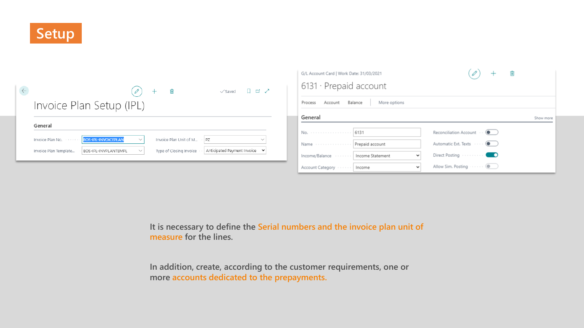

|                                                                | 喕                      | ローズ<br>$\sqrt{\mathsf{Saved}}$ |
|----------------------------------------------------------------|------------------------|--------------------------------|
| Invoice Plan Setup (IPL)                                       |                        |                                |
| General                                                        |                        |                                |
|                                                                |                        |                                |
| <b>EOS-IPL-INVOICEPLAN</b><br>Invoice Plan No.<br>$\checkmark$ | Invoice Plan Unit of M | PZ<br>$\checkmark$             |

| G/L Account Card   Work Date: 31/03/2021 |                         |                                               |  |  |  |  |  |  |
|------------------------------------------|-------------------------|-----------------------------------------------|--|--|--|--|--|--|
| $6131 \cdot$ Prepaid account             |                         |                                               |  |  |  |  |  |  |
| Account<br>Process                       | Balance<br>More options |                                               |  |  |  |  |  |  |
| General                                  |                         | Show more                                     |  |  |  |  |  |  |
| No. 6131                                 |                         | Reconciliation Account $\cdots$ ( $\bullet$ ) |  |  |  |  |  |  |
| Name  Prepaid account                    |                         | Automatic Ext. Texts ( )                      |  |  |  |  |  |  |
| Income/Balance    Income Statement       | $\check{~}$             |                                               |  |  |  |  |  |  |
| Account Category    Income               | $\checkmark$            | Allow Sim. Posting  (                         |  |  |  |  |  |  |

**It is necessary to define the Serial numbers and the invoice plan unit of measure for the lines.**

**In addition, create, according to the customer requirements, one or more accounts dedicated to the prepayments.**